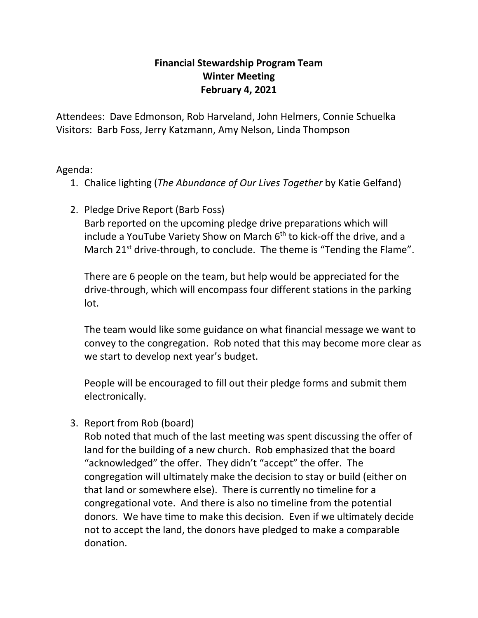## **Financial Stewardship Program Team Winter Meeting February 4, 2021**

Attendees: Dave Edmonson, Rob Harveland, John Helmers, Connie Schuelka Visitors: Barb Foss, Jerry Katzmann, Amy Nelson, Linda Thompson

Agenda:

- 1. Chalice lighting (*The Abundance of Our Lives Together* by Katie Gelfand)
- 2. Pledge Drive Report (Barb Foss) Barb reported on the upcoming pledge drive preparations which will include a YouTube Variety Show on March 6<sup>th</sup> to kick-off the drive, and a March 21<sup>st</sup> drive-through, to conclude. The theme is "Tending the Flame".

There are 6 people on the team, but help would be appreciated for the drive-through, which will encompass four different stations in the parking lot.

The team would like some guidance on what financial message we want to convey to the congregation. Rob noted that this may become more clear as we start to develop next year's budget.

People will be encouraged to fill out their pledge forms and submit them electronically.

3. Report from Rob (board)

Rob noted that much of the last meeting was spent discussing the offer of land for the building of a new church. Rob emphasized that the board "acknowledged" the offer. They didn't "accept" the offer. The congregation will ultimately make the decision to stay or build (either on that land or somewhere else). There is currently no timeline for a congregational vote. And there is also no timeline from the potential donors. We have time to make this decision. Even if we ultimately decide not to accept the land, the donors have pledged to make a comparable donation.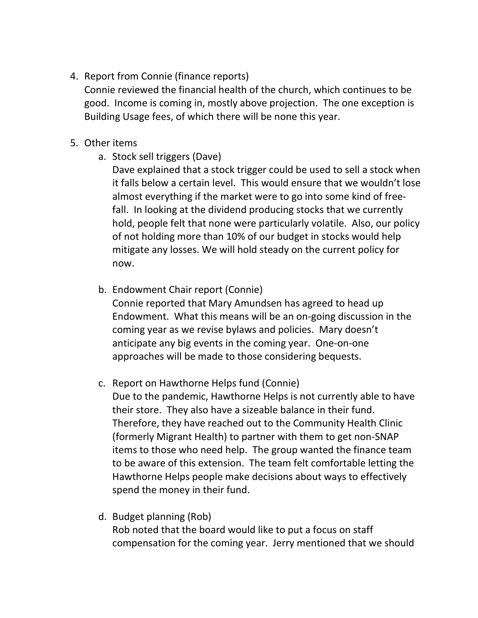4. Report from Connie (finance reports)

Connie reviewed the financial health of the church, which continues to be good. Income is coming in, mostly above projection. The one exception is Building Usage fees, of which there will be none this year.

## 5. Other items

a. Stock sell triggers (Dave)

Dave explained that a stock trigger could be used to sell a stock when it falls below a certain level. This would ensure that we wouldn't lose almost everything if the market were to go into some kind of freefall. In looking at the dividend producing stocks that we currently hold, people felt that none were particularly volatile. Also, our policy of not holding more than 10% of our budget in stocks would help mitigate any losses. We will hold steady on the current policy for now.

b. Endowment Chair report (Connie)

Connie reported that Mary Amundsen has agreed to head up Endowment. What this means will be an on-going discussion in the coming year as we revise bylaws and policies. Mary doesn't anticipate any big events in the coming year. One-on-one approaches will be made to those considering bequests.

c. Report on Hawthorne Helps fund (Connie)

Due to the pandemic, Hawthorne Helps is not currently able to have their store. They also have a sizeable balance in their fund. Therefore, they have reached out to the Community Health Clinic (formerly Migrant Health) to partner with them to get non-SNAP items to those who need help. The group wanted the finance team to be aware of this extension. The team felt comfortable letting the Hawthorne Helps people make decisions about ways to effectively spend the money in their fund.

d. Budget planning (Rob)

Rob noted that the board would like to put a focus on staff compensation for the coming year. Jerry mentioned that we should